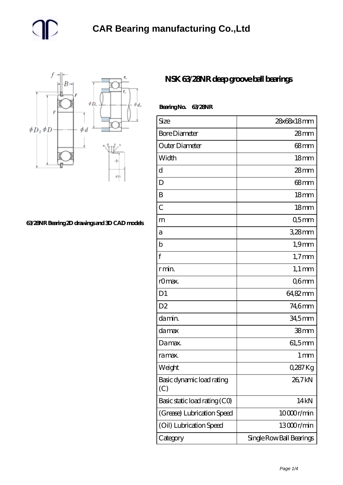

**[63/28NR Bearing 2D drawings and 3D CAD models](https://m.gmgyb.com/pic-48047.html)**

## **[NSK 63/28NR deep groove ball bearings](https://m.gmgyb.com/al-48047-nsk-63-28nr-deep-groove-ball-bearings.html)**

| BearingNo.<br>63/28NR            |                          |
|----------------------------------|--------------------------|
| Size                             | 28x68x18mm               |
| <b>Bore Diameter</b>             | $28$ mm                  |
| Outer Diameter                   | $68$ mm                  |
| Width                            | 18 <sub>mm</sub>         |
| d                                | 28mm                     |
| D                                | 68 <sub>mm</sub>         |
| B                                | 18 <sub>mm</sub>         |
| $\overline{C}$                   | 18 <sub>mm</sub>         |
| m                                | 05 <sub>mm</sub>         |
| a                                | 328mm                    |
| b                                | $1,9$ mm                 |
| $\mathbf f$                      | $1,7$ mm                 |
| r min.                           | $1,1 \text{ mm}$         |
| r0max.                           | Q6mm                     |
| D <sub>1</sub>                   | 64,82mm                  |
| D <sub>2</sub>                   | 74,6mm                   |
| da min.                          | 34,5mm                   |
| da max                           | 38mm                     |
| Damax.                           | 61,5mm                   |
| ra max.                          | 1 <sub>mm</sub>          |
| Weight                           | 0,287 Kg                 |
| Basic dynamic load rating<br>(C) | 26,7kN                   |
| Basic static load rating (CO)    | 14 <sub>kN</sub>         |
| (Grease) Lubrication Speed       | 10000r/min               |
| (Oil) Lubrication Speed          | 13000r/min               |
| Category                         | Single Row Ball Bearings |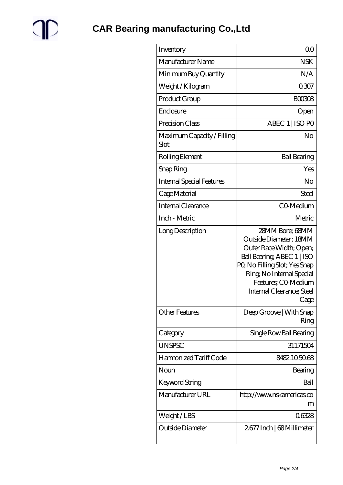

| Inventory                          | 0 <sup>0</sup>                                                                                                                                                                                                              |
|------------------------------------|-----------------------------------------------------------------------------------------------------------------------------------------------------------------------------------------------------------------------------|
| Manufacturer Name                  | <b>NSK</b>                                                                                                                                                                                                                  |
| Minimum Buy Quantity               | N/A                                                                                                                                                                                                                         |
| Weight / Kilogram                  | 0307                                                                                                                                                                                                                        |
| Product Group                      | <b>BOO308</b>                                                                                                                                                                                                               |
| Enclosure                          | Open                                                                                                                                                                                                                        |
| Precision Class                    | ABEC 1   ISO PO                                                                                                                                                                                                             |
| Maximum Capacity / Filling<br>Slot | No                                                                                                                                                                                                                          |
| Rolling Element                    | <b>Ball Bearing</b>                                                                                                                                                                                                         |
| Snap Ring                          | Yes                                                                                                                                                                                                                         |
| <b>Internal Special Features</b>   | No                                                                                                                                                                                                                          |
| Cage Material                      | <b>Steel</b>                                                                                                                                                                                                                |
| Internal Clearance                 | CO-Medium                                                                                                                                                                                                                   |
| Inch - Metric                      | Metric                                                                                                                                                                                                                      |
| Long Description                   | 28MM Bore; 68MM<br>Outside Diameter; 18MM<br>Outer Race Width; Open;<br>Ball Bearing, ABEC 1   ISO<br>PQ No Filling Slot; Yes Snap<br>Ring, No Internal Special<br>Features; CO Medium<br>Internal Clearance; Steel<br>Cage |
| <b>Other Features</b>              | Deep Groove   With Snap<br>Ring                                                                                                                                                                                             |
| Category                           | Single Row Ball Bearing                                                                                                                                                                                                     |
| <b>UNSPSC</b>                      | 31171504                                                                                                                                                                                                                    |
| Harmonized Tariff Code             | 8482105068                                                                                                                                                                                                                  |
| Noun                               | Bearing                                                                                                                                                                                                                     |
| Keyword String                     | Ball                                                                                                                                                                                                                        |
| Manufacturer URL                   | http://www.nskamericas.co<br>m                                                                                                                                                                                              |
| Weight/LBS                         | 06328                                                                                                                                                                                                                       |
| Outside Diameter                   | 2677 Inch   68 Millimeter                                                                                                                                                                                                   |
|                                    |                                                                                                                                                                                                                             |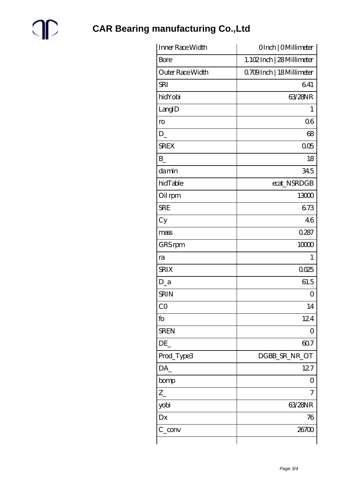

**CAR Bearing manufacturing Co., Ltd** 

| Inner Race Width           | OInch   OMillimeter       |
|----------------------------|---------------------------|
| <b>Bore</b>                | 1.102Inch   28 Millimeter |
| Outer Race Width           | 0709Inch   18 Millimeter  |
| <b>SRI</b>                 | 641                       |
| hidYobi                    | 63/28NR                   |
| LangID                     | 1                         |
| $\mathop{\rm ro}\nolimits$ | 06                        |
| D                          | 68                        |
| <b>SREX</b>                | 005                       |
| B                          | 18                        |
| damin                      | 345                       |
| hidTable                   | ecat_NSRDGB               |
| Oil rpm                    | 13000                     |
| <b>SRE</b>                 | 673                       |
| Cy                         | 46                        |
| mass                       | 0.287                     |
| GRS rpm                    | 10000                     |
| ra                         | 1                         |
| <b>SRIX</b>                | 0.025                     |
| $D_a$                      | 61.5                      |
| <b>SRIN</b>                | 0                         |
| CO                         | 14                        |
| fo                         | 124                       |
| <b>SREN</b>                | 0                         |
| DE                         | 607                       |
| Prod_Type3                 | DGBB_SR_NR_OT             |
| DA_                        | 127                       |
| bomp                       | 0                         |
| $Z_{-}$                    | 7                         |
| yobi                       | 63/28NR                   |
| Dx                         | 76                        |
| $C_{\perp}$ conv           | 26700                     |
|                            |                           |